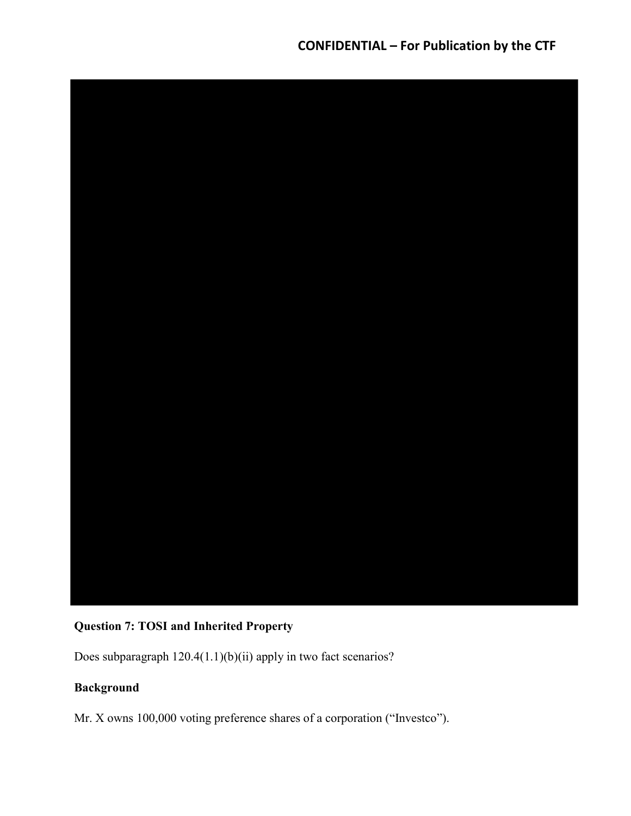

# Question 7: TOSI and Inherited Property

Does subparagraph 120.4(1.1)(b)(ii) apply in two fact scenarios?

# Background

Mr. X owns 100,000 voting preference shares of a corporation ("Investco").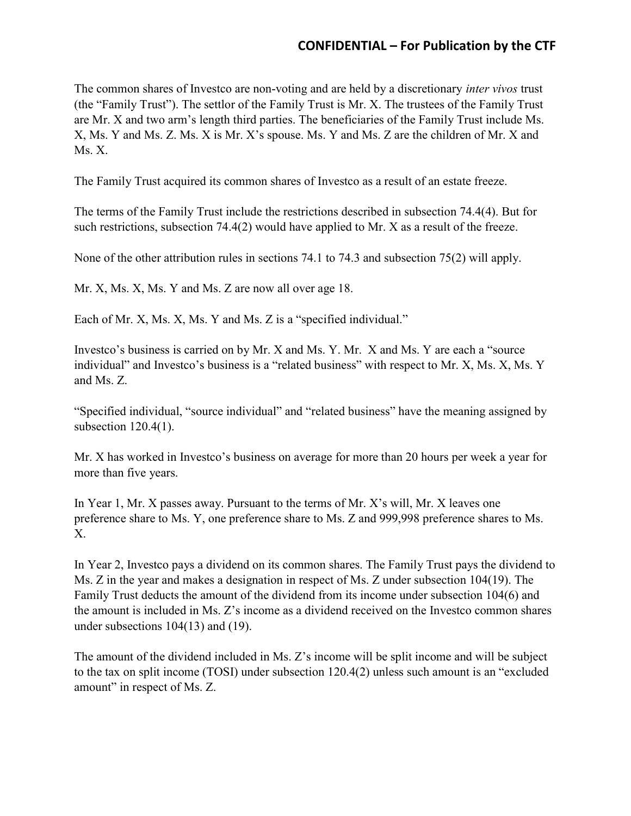The common shares of Investco are non-voting and are held by a discretionary inter vivos trust (the "Family Trust"). The settlor of the Family Trust is Mr. X. The trustees of the Family Trust are Mr. X and two arm's length third parties. The beneficiaries of the Family Trust include Ms. X, Ms. Y and Ms. Z. Ms. X is Mr. X's spouse. Ms. Y and Ms. Z are the children of Mr. X and Ms. X.

The Family Trust acquired its common shares of Investco as a result of an estate freeze.

The terms of the Family Trust include the restrictions described in subsection 74.4(4). But for such restrictions, subsection 74.4(2) would have applied to Mr. X as a result of the freeze.

None of the other attribution rules in sections 74.1 to 74.3 and subsection 75(2) will apply.

Mr. X, Ms. X, Ms. Y and Ms. Z are now all over age 18.

Each of Mr. X, Ms. X, Ms. Y and Ms. Z is a "specified individual."

Investco's business is carried on by Mr. X and Ms. Y. Mr. X and Ms. Y are each a "source individual" and Investco's business is a "related business" with respect to Mr. X, Ms. X, Ms. Y and Ms. Z.

"Specified individual, "source individual" and "related business" have the meaning assigned by subsection 120.4(1).

Mr. X has worked in Investco's business on average for more than 20 hours per week a year for more than five years.

In Year 1, Mr. X passes away. Pursuant to the terms of Mr. X's will, Mr. X leaves one preference share to Ms. Y, one preference share to Ms. Z and 999,998 preference shares to Ms. X.

In Year 2, Investco pays a dividend on its common shares. The Family Trust pays the dividend to Ms. Z in the year and makes a designation in respect of Ms. Z under subsection 104(19). The Family Trust deducts the amount of the dividend from its income under subsection 104(6) and the amount is included in Ms. Z's income as a dividend received on the Investco common shares under subsections 104(13) and (19).

The amount of the dividend included in Ms. Z's income will be split income and will be subject to the tax on split income (TOSI) under subsection 120.4(2) unless such amount is an "excluded amount" in respect of Ms. Z.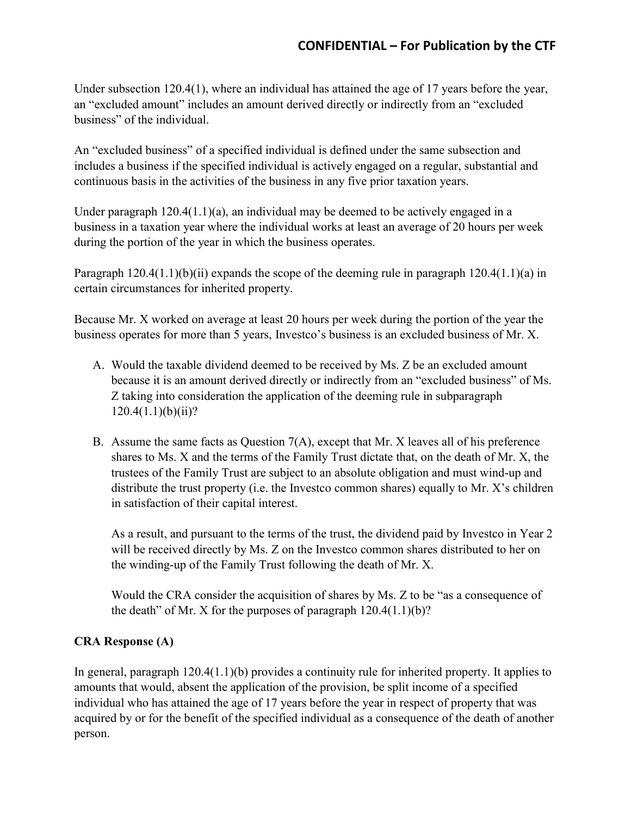Under subsection 120.4(1), where an individual has attained the age of 17 years before the year, an "excluded amount" includes an amount derived directly or indirectly from an "excluded business" of the individual.

An "excluded business" of a specified individual is defined under the same subsection and includes a business if the specified individual is actively engaged on a regular, substantial and continuous basis in the activities of the business in any five prior taxation years.

Under paragraph  $120.4(1.1)(a)$ , an individual may be deemed to be actively engaged in a business in a taxation year where the individual works at least an average of 20 hours per week during the portion of the year in which the business operates.

Paragraph  $120.4(1.1)(b)(ii)$  expands the scope of the deeming rule in paragraph  $120.4(1.1)(a)$  in certain circumstances for inherited property.

Because Mr. X worked on average at least 20 hours per week during the portion of the year the business operates for more than 5 years, Investco's business is an excluded business of Mr. X.

- A. Would the taxable dividend deemed to be received by Ms. Z be an excluded amount because it is an amount derived directly or indirectly from an "excluded business" of Ms. Z taking into consideration the application of the deeming rule in subparagraph  $120.4(1.1)(b)(ii)?$
- B. Assume the same facts as Question 7(A), except that Mr. X leaves all of his preference shares to Ms. X and the terms of the Family Trust dictate that, on the death of Mr. X, the trustees of the Family Trust are subject to an absolute obligation and must wind-up and distribute the trust property (i.e. the Investco common shares) equally to Mr. X's children in satisfaction of their capital interest.

As a result, and pursuant to the terms of the trust, the dividend paid by Investco in Year 2 will be received directly by Ms. Z on the Investco common shares distributed to her on the winding-up of the Family Trust following the death of Mr. X.

Would the CRA consider the acquisition of shares by Ms. Z to be "as a consequence of the death" of Mr. X for the purposes of paragraph  $120.4(1.1)(b)$ ?

## CRA Response (A)

In general, paragraph 120.4(1.1)(b) provides a continuity rule for inherited property. It applies to amounts that would, absent the application of the provision, be split income of a specified individual who has attained the age of 17 years before the year in respect of property that was acquired by or for the benefit of the specified individual as a consequence of the death of another person.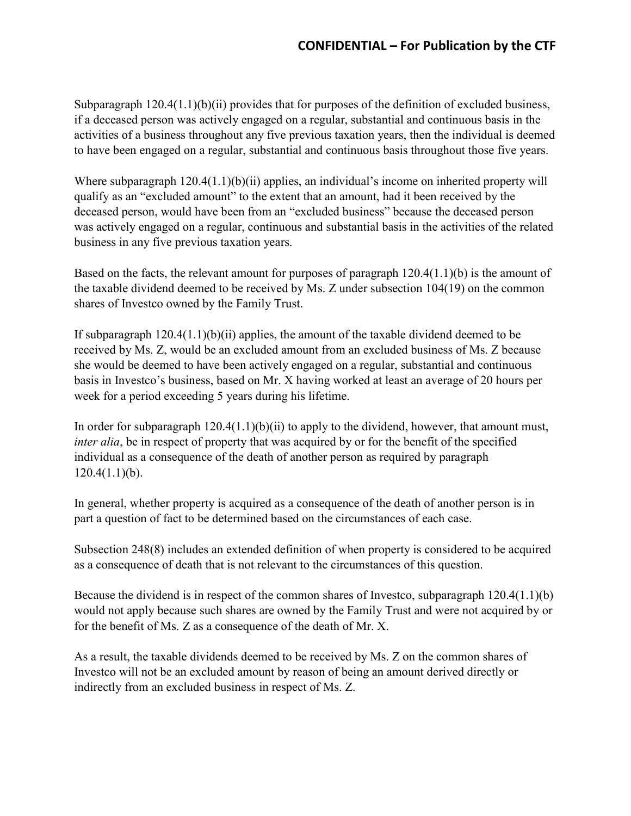Subparagraph 120.4(1.1)(b)(ii) provides that for purposes of the definition of excluded business, if a deceased person was actively engaged on a regular, substantial and continuous basis in the activities of a business throughout any five previous taxation years, then the individual is deemed to have been engaged on a regular, substantial and continuous basis throughout those five years.

Where subparagraph  $120.4(1.1)(b)(ii)$  applies, an individual's income on inherited property will qualify as an "excluded amount" to the extent that an amount, had it been received by the deceased person, would have been from an "excluded business" because the deceased person was actively engaged on a regular, continuous and substantial basis in the activities of the related business in any five previous taxation years.

Based on the facts, the relevant amount for purposes of paragraph 120.4(1.1)(b) is the amount of the taxable dividend deemed to be received by Ms. Z under subsection 104(19) on the common shares of Investco owned by the Family Trust.

If subparagraph  $120.4(1.1)(b)(ii)$  applies, the amount of the taxable dividend deemed to be received by Ms. Z, would be an excluded amount from an excluded business of Ms. Z because she would be deemed to have been actively engaged on a regular, substantial and continuous basis in Investco's business, based on Mr. X having worked at least an average of 20 hours per week for a period exceeding 5 years during his lifetime.

In order for subparagraph 120.4(1.1)(b)(ii) to apply to the dividend, however, that amount must, inter alia, be in respect of property that was acquired by or for the benefit of the specified individual as a consequence of the death of another person as required by paragraph  $120.4(1.1)(b)$ .

In general, whether property is acquired as a consequence of the death of another person is in part a question of fact to be determined based on the circumstances of each case.

Subsection 248(8) includes an extended definition of when property is considered to be acquired as a consequence of death that is not relevant to the circumstances of this question.

Because the dividend is in respect of the common shares of Investco, subparagraph 120.4(1.1)(b) would not apply because such shares are owned by the Family Trust and were not acquired by or for the benefit of Ms. Z as a consequence of the death of Mr. X.

As a result, the taxable dividends deemed to be received by Ms. Z on the common shares of Investco will not be an excluded amount by reason of being an amount derived directly or indirectly from an excluded business in respect of Ms. Z.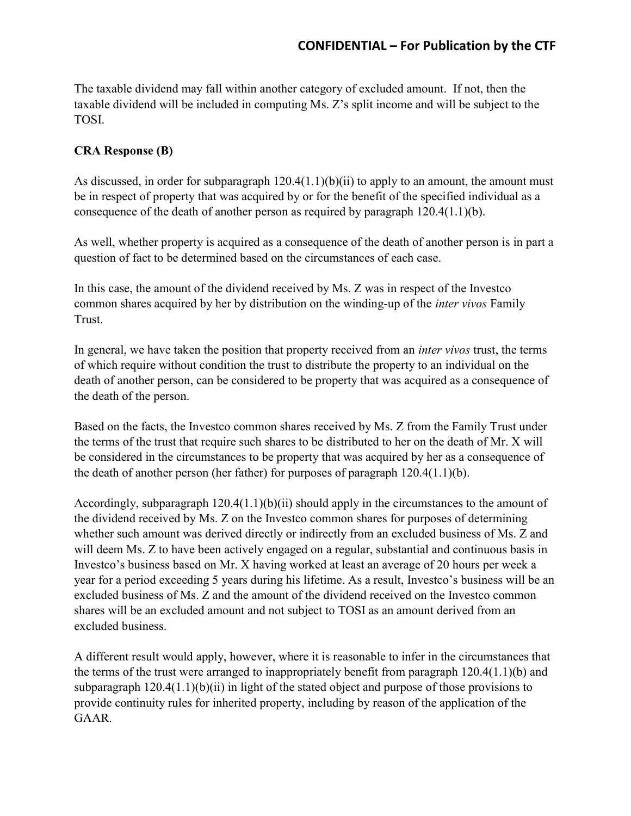The taxable dividend may fall within another category of excluded amount. If not, then the taxable dividend will be included in computing Ms. Z's split income and will be subject to the TOSI.

## CRA Response (B)

As discussed, in order for subparagraph  $120.4(1.1)(b)(ii)$  to apply to an amount, the amount must be in respect of property that was acquired by or for the benefit of the specified individual as a consequence of the death of another person as required by paragraph  $120.4(1.1)(b)$ .

As well, whether property is acquired as a consequence of the death of another person is in part a question of fact to be determined based on the circumstances of each case.

In this case, the amount of the dividend received by Ms. Z was in respect of the Investco common shares acquired by her by distribution on the winding-up of the *inter vivos* Family Trust.

In general, we have taken the position that property received from an *inter vivos* trust, the terms of which require without condition the trust to distribute the property to an individual on the death of another person, can be considered to be property that was acquired as a consequence of the death of the person.

Based on the facts, the Investco common shares received by Ms. Z from the Family Trust under the terms of the trust that require such shares to be distributed to her on the death of Mr. X will be considered in the circumstances to be property that was acquired by her as a consequence of the death of another person (her father) for purposes of paragraph 120.4(1.1)(b).

Accordingly, subparagraph  $120.4(1.1)(b)(ii)$  should apply in the circumstances to the amount of the dividend received by Ms. Z on the Investco common shares for purposes of determining whether such amount was derived directly or indirectly from an excluded business of Ms. Z and will deem Ms. Z to have been actively engaged on a regular, substantial and continuous basis in Investco's business based on Mr. X having worked at least an average of 20 hours per week a year for a period exceeding 5 years during his lifetime. As a result, Investco's business will be an excluded business of Ms. Z and the amount of the dividend received on the Investco common shares will be an excluded amount and not subject to TOSI as an amount derived from an excluded business.

A different result would apply, however, where it is reasonable to infer in the circumstances that the terms of the trust were arranged to inappropriately benefit from paragraph 120.4(1.1)(b) and subparagraph  $120.4(1.1)(b)(ii)$  in light of the stated object and purpose of those provisions to provide continuity rules for inherited property, including by reason of the application of the GAAR.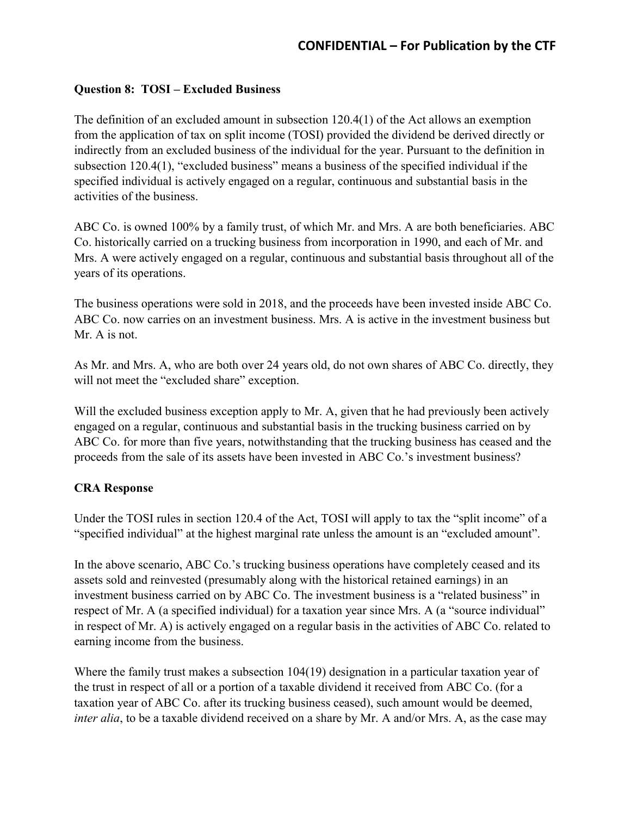### Question 8: TOSI – Excluded Business

The definition of an excluded amount in subsection 120.4(1) of the Act allows an exemption from the application of tax on split income (TOSI) provided the dividend be derived directly or indirectly from an excluded business of the individual for the year. Pursuant to the definition in subsection 120.4(1), "excluded business" means a business of the specified individual if the specified individual is actively engaged on a regular, continuous and substantial basis in the activities of the business.

ABC Co. is owned 100% by a family trust, of which Mr. and Mrs. A are both beneficiaries. ABC Co. historically carried on a trucking business from incorporation in 1990, and each of Mr. and Mrs. A were actively engaged on a regular, continuous and substantial basis throughout all of the years of its operations.

The business operations were sold in 2018, and the proceeds have been invested inside ABC Co. ABC Co. now carries on an investment business. Mrs. A is active in the investment business but Mr. A is not.

As Mr. and Mrs. A, who are both over 24 years old, do not own shares of ABC Co. directly, they will not meet the "excluded share" exception.

Will the excluded business exception apply to Mr. A, given that he had previously been actively engaged on a regular, continuous and substantial basis in the trucking business carried on by ABC Co. for more than five years, notwithstanding that the trucking business has ceased and the proceeds from the sale of its assets have been invested in ABC Co.'s investment business?

#### CRA Response

Under the TOSI rules in section 120.4 of the Act, TOSI will apply to tax the "split income" of a "specified individual" at the highest marginal rate unless the amount is an "excluded amount".

In the above scenario, ABC Co.'s trucking business operations have completely ceased and its assets sold and reinvested (presumably along with the historical retained earnings) in an investment business carried on by ABC Co. The investment business is a "related business" in respect of Mr. A (a specified individual) for a taxation year since Mrs. A (a "source individual" in respect of Mr. A) is actively engaged on a regular basis in the activities of ABC Co. related to earning income from the business.

Where the family trust makes a subsection 104(19) designation in a particular taxation year of the trust in respect of all or a portion of a taxable dividend it received from ABC Co. (for a taxation year of ABC Co. after its trucking business ceased), such amount would be deemed, inter alia, to be a taxable dividend received on a share by Mr. A and/or Mrs. A, as the case may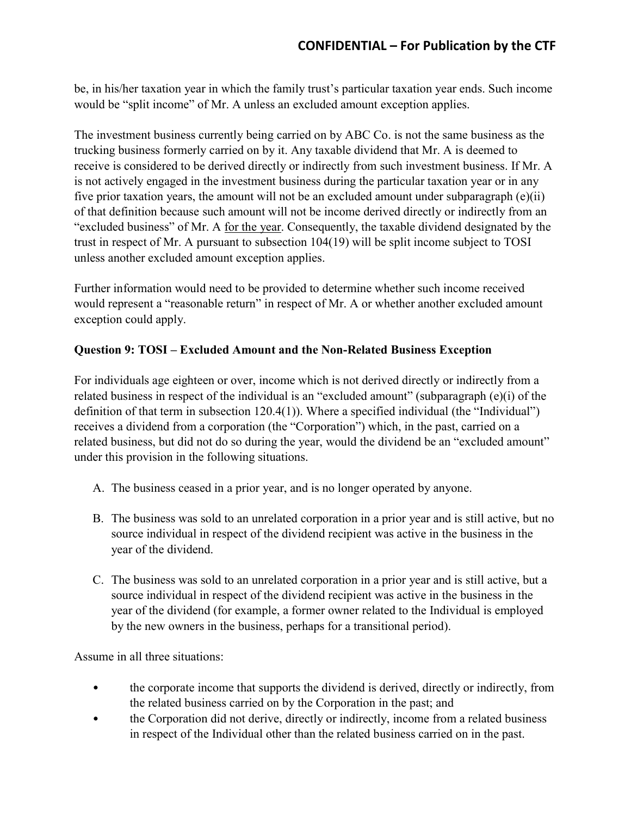be, in his/her taxation year in which the family trust's particular taxation year ends. Such income would be "split income" of Mr. A unless an excluded amount exception applies.

The investment business currently being carried on by ABC Co. is not the same business as the trucking business formerly carried on by it. Any taxable dividend that Mr. A is deemed to receive is considered to be derived directly or indirectly from such investment business. If Mr. A is not actively engaged in the investment business during the particular taxation year or in any five prior taxation years, the amount will not be an excluded amount under subparagraph (e)(ii) of that definition because such amount will not be income derived directly or indirectly from an "excluded business" of Mr. A for the year. Consequently, the taxable dividend designated by the trust in respect of Mr. A pursuant to subsection 104(19) will be split income subject to TOSI unless another excluded amount exception applies.

Further information would need to be provided to determine whether such income received would represent a "reasonable return" in respect of Mr. A or whether another excluded amount exception could apply.

## Question 9: TOSI – Excluded Amount and the Non-Related Business Exception

For individuals age eighteen or over, income which is not derived directly or indirectly from a related business in respect of the individual is an "excluded amount" (subparagraph (e)(i) of the definition of that term in subsection 120.4(1)). Where a specified individual (the "Individual") receives a dividend from a corporation (the "Corporation") which, in the past, carried on a related business, but did not do so during the year, would the dividend be an "excluded amount" under this provision in the following situations.

- A. The business ceased in a prior year, and is no longer operated by anyone.
- B. The business was sold to an unrelated corporation in a prior year and is still active, but no source individual in respect of the dividend recipient was active in the business in the year of the dividend.
- C. The business was sold to an unrelated corporation in a prior year and is still active, but a source individual in respect of the dividend recipient was active in the business in the year of the dividend (for example, a former owner related to the Individual is employed by the new owners in the business, perhaps for a transitional period).

Assume in all three situations:

- the corporate income that supports the dividend is derived, directly or indirectly, from the related business carried on by the Corporation in the past; and
- the Corporation did not derive, directly or indirectly, income from a related business in respect of the Individual other than the related business carried on in the past.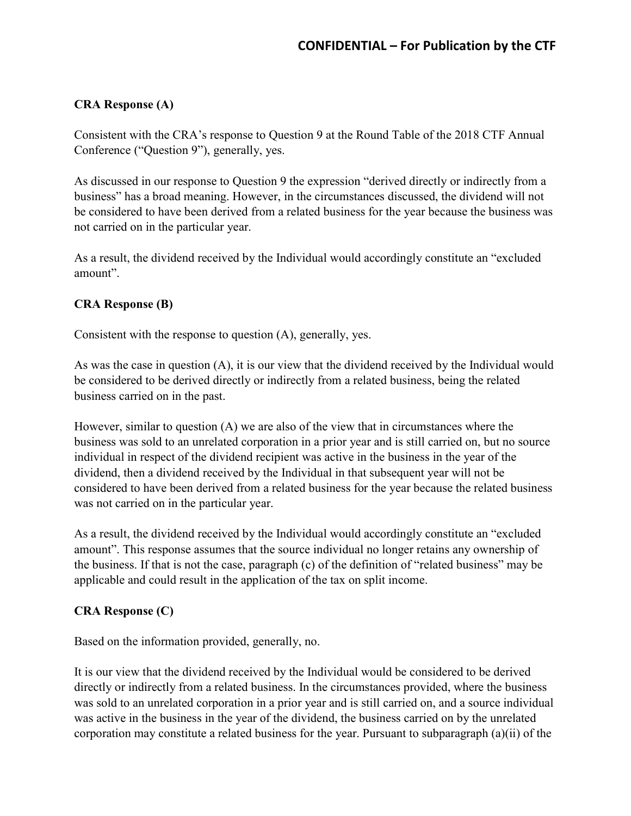## CRA Response (A)

Consistent with the CRA's response to Question 9 at the Round Table of the 2018 CTF Annual Conference ("Question 9"), generally, yes.

As discussed in our response to Question 9 the expression "derived directly or indirectly from a business" has a broad meaning. However, in the circumstances discussed, the dividend will not be considered to have been derived from a related business for the year because the business was not carried on in the particular year.

As a result, the dividend received by the Individual would accordingly constitute an "excluded amount".

## CRA Response (B)

Consistent with the response to question (A), generally, yes.

As was the case in question (A), it is our view that the dividend received by the Individual would be considered to be derived directly or indirectly from a related business, being the related business carried on in the past.

However, similar to question (A) we are also of the view that in circumstances where the business was sold to an unrelated corporation in a prior year and is still carried on, but no source individual in respect of the dividend recipient was active in the business in the year of the dividend, then a dividend received by the Individual in that subsequent year will not be considered to have been derived from a related business for the year because the related business was not carried on in the particular year.

As a result, the dividend received by the Individual would accordingly constitute an "excluded amount". This response assumes that the source individual no longer retains any ownership of the business. If that is not the case, paragraph (c) of the definition of "related business" may be applicable and could result in the application of the tax on split income.

## CRA Response (C)

Based on the information provided, generally, no.

It is our view that the dividend received by the Individual would be considered to be derived directly or indirectly from a related business. In the circumstances provided, where the business was sold to an unrelated corporation in a prior year and is still carried on, and a source individual was active in the business in the year of the dividend, the business carried on by the unrelated corporation may constitute a related business for the year. Pursuant to subparagraph (a)(ii) of the